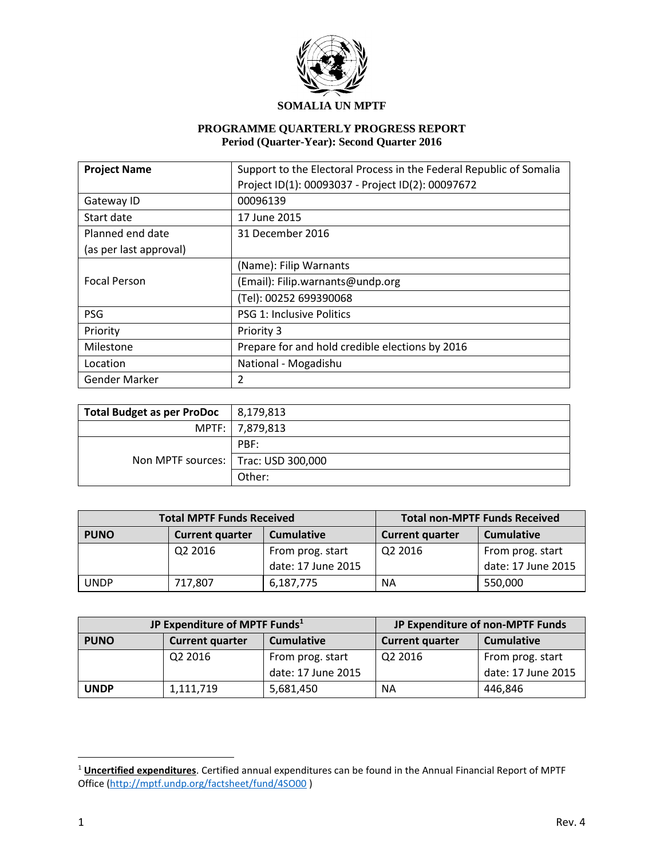

#### **SOMALIA UN MPTF**

# **PROGRAMME QUARTERLY PROGRESS REPORT Period (Quarter-Year): Second Quarter 2016**

| <b>Project Name</b>        | Support to the Electoral Process in the Federal Republic of Somalia |  |  |
|----------------------------|---------------------------------------------------------------------|--|--|
|                            | Project ID(1): 00093037 - Project ID(2): 00097672                   |  |  |
| Gateway ID                 | 00096139                                                            |  |  |
| Start date<br>17 June 2015 |                                                                     |  |  |
| Planned end date           | 31 December 2016                                                    |  |  |
| (as per last approval)     |                                                                     |  |  |
|                            | (Name): Filip Warnants                                              |  |  |
| <b>Focal Person</b>        | (Email): Filip.warnants@undp.org                                    |  |  |
|                            | (Tel): 00252 699390068                                              |  |  |
| <b>PSG</b>                 | <b>PSG 1: Inclusive Politics</b>                                    |  |  |
| Priority                   | Priority 3                                                          |  |  |
| Milestone                  | Prepare for and hold credible elections by 2016                     |  |  |
| Location                   | National - Mogadishu                                                |  |  |
| <b>Gender Marker</b>       | 2                                                                   |  |  |

| <b>Total Budget as per ProDoc</b>     | 8,179,813       |
|---------------------------------------|-----------------|
|                                       | MPTF: 7,879,813 |
|                                       | PBF:            |
| Non MPTF sources:   Trac: USD 300,000 |                 |
|                                       | Other:          |

|             | <b>Total MPTF Funds Received</b> | <b>Total non-MPTF Funds Received</b> |                        |                    |
|-------------|----------------------------------|--------------------------------------|------------------------|--------------------|
| <b>PUNO</b> | <b>Current quarter</b>           | <b>Cumulative</b>                    | <b>Current quarter</b> | <b>Cumulative</b>  |
|             | Q2 2016                          | From prog. start                     | Q2 2016                | From prog. start   |
|             |                                  | date: 17 June 2015                   |                        | date: 17 June 2015 |
| <b>UNDP</b> | 717,807                          | 6,187,775                            | <b>NA</b>              | 550,000            |

|                                       | JP Expenditure of MPTF Funds <sup>1</sup> | JP Expenditure of non-MPTF Funds |                        |                    |
|---------------------------------------|-------------------------------------------|----------------------------------|------------------------|--------------------|
| <b>PUNO</b>                           | <b>Current quarter</b>                    | <b>Cumulative</b>                | <b>Current quarter</b> | <b>Cumulative</b>  |
| Q <sub>2</sub> 2016                   |                                           | From prog. start                 | Q2 2016                | From prog. start   |
|                                       |                                           | date: 17 June 2015               |                        | date: 17 June 2015 |
| <b>UNDP</b><br>5,681,450<br>1,111,719 |                                           |                                  | <b>NA</b>              | 446,846            |

 $\overline{a}$ 

<sup>1</sup> **Uncertified expenditures**. Certified annual expenditures can be found in the Annual Financial Report of MPTF Office [\(http://mptf.undp.org/factsheet/fund/4SO00](http://mptf.undp.org/factsheet/fund/4SO00) )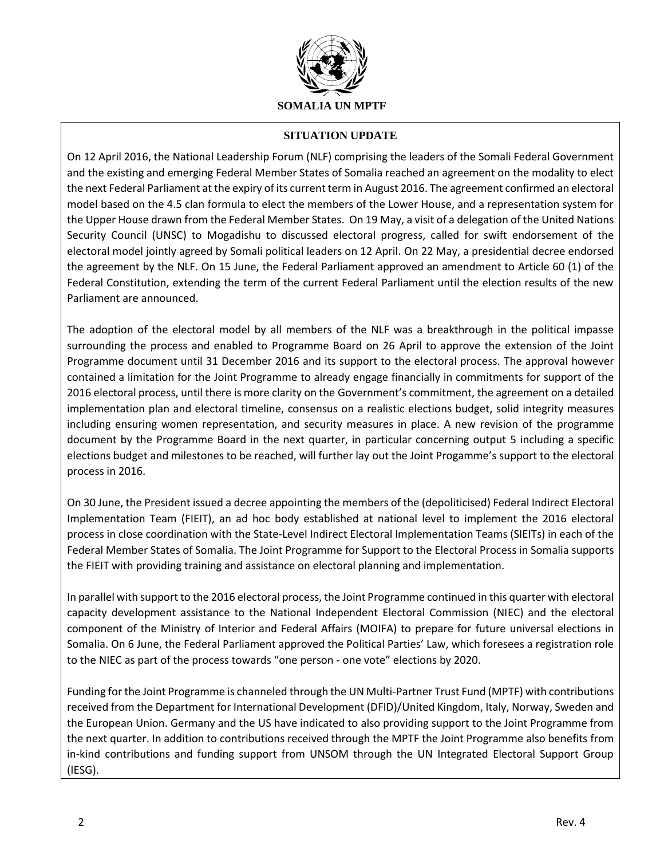

### **SITUATION UPDATE**

On 12 April 2016, the National Leadership Forum (NLF) comprising the leaders of the Somali Federal Government and the existing and emerging Federal Member States of Somalia reached an agreement on the modality to elect the next Federal Parliament at the expiry of its current term in August 2016. The agreement confirmed an electoral model based on the 4.5 clan formula to elect the members of the Lower House, and a representation system for the Upper House drawn from the Federal Member States. On 19 May, a visit of a delegation of the United Nations Security Council (UNSC) to Mogadishu to discussed electoral progress, called for swift endorsement of the electoral model jointly agreed by Somali political leaders on 12 April. On 22 May, a presidential decree endorsed the agreement by the NLF. On 15 June, the Federal Parliament approved an amendment to Article 60 (1) of the Federal Constitution, extending the term of the current Federal Parliament until the election results of the new Parliament are announced.

The adoption of the electoral model by all members of the NLF was a breakthrough in the political impasse surrounding the process and enabled to Programme Board on 26 April to approve the extension of the Joint Programme document until 31 December 2016 and its support to the electoral process. The approval however contained a limitation for the Joint Programme to already engage financially in commitments for support of the 2016 electoral process, until there is more clarity on the Government's commitment, the agreement on a detailed implementation plan and electoral timeline, consensus on a realistic elections budget, solid integrity measures including ensuring women representation, and security measures in place. A new revision of the programme document by the Programme Board in the next quarter, in particular concerning output 5 including a specific elections budget and milestones to be reached, will further lay out the Joint Progamme's support to the electoral process in 2016.

On 30 June, the President issued a decree appointing the members of the (depoliticised) Federal Indirect Electoral Implementation Team (FIEIT), an ad hoc body established at national level to implement the 2016 electoral process in close coordination with the State-Level Indirect Electoral Implementation Teams (SIEITs) in each of the Federal Member States of Somalia. The Joint Programme for Support to the Electoral Process in Somalia supports the FIEIT with providing training and assistance on electoral planning and implementation.

In parallel with support to the 2016 electoral process, the Joint Programme continued in this quarter with electoral capacity development assistance to the National Independent Electoral Commission (NIEC) and the electoral component of the Ministry of Interior and Federal Affairs (MOIFA) to prepare for future universal elections in Somalia. On 6 June, the Federal Parliament approved the Political Parties' Law, which foresees a registration role to the NIEC as part of the process towards "one person - one vote" elections by 2020.

Funding for the Joint Programme is channeled through the UN Multi-Partner Trust Fund (MPTF) with contributions received from the Department for International Development (DFID)/United Kingdom, Italy, Norway, Sweden and the European Union. Germany and the US have indicated to also providing support to the Joint Programme from the next quarter. In addition to contributions received through the MPTF the Joint Programme also benefits from in-kind contributions and funding support from UNSOM through the UN Integrated Electoral Support Group (IESG).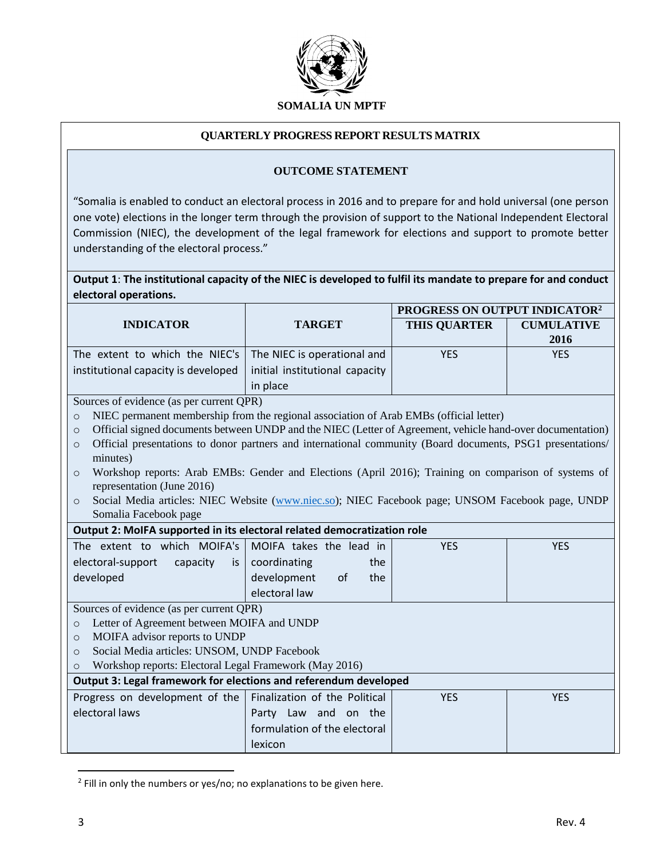

#### **QUARTERLY PROGRESS REPORT RESULTS MATRIX**

#### **OUTCOME STATEMENT**

"Somalia is enabled to conduct an electoral process in 2016 and to prepare for and hold universal (one person one vote) elections in the longer term through the provision of support to the National Independent Electoral Commission (NIEC), the development of the legal framework for elections and support to promote better understanding of the electoral process."

| Output 1: The institutional capacity of the NIEC is developed to fulfil its mandate to prepare for and conduct |  |
|----------------------------------------------------------------------------------------------------------------|--|
| electoral operations.                                                                                          |  |

|                                                                                                                                   |                                                     | PROGRESS ON OUTPUT INDICATOR <sup>2</sup> |                   |  |  |  |  |
|-----------------------------------------------------------------------------------------------------------------------------------|-----------------------------------------------------|-------------------------------------------|-------------------|--|--|--|--|
| <b>INDICATOR</b>                                                                                                                  | <b>TARGET</b>                                       | <b>THIS QUARTER</b>                       | <b>CUMULATIVE</b> |  |  |  |  |
|                                                                                                                                   |                                                     |                                           | 2016              |  |  |  |  |
| The extent to which the NIEC's                                                                                                    | The NIEC is operational and                         | <b>YES</b>                                | <b>YES</b>        |  |  |  |  |
| institutional capacity is developed                                                                                               | initial institutional capacity                      |                                           |                   |  |  |  |  |
|                                                                                                                                   | in place                                            |                                           |                   |  |  |  |  |
| Sources of evidence (as per current QPR)                                                                                          |                                                     |                                           |                   |  |  |  |  |
| NIEC permanent membership from the regional association of Arab EMBs (official letter)<br>$\circ$                                 |                                                     |                                           |                   |  |  |  |  |
| Official signed documents between UNDP and the NIEC (Letter of Agreement, vehicle hand-over documentation)<br>$\circ$             |                                                     |                                           |                   |  |  |  |  |
| Official presentations to donor partners and international community (Board documents, PSG1 presentations/<br>$\circ$<br>minutes) |                                                     |                                           |                   |  |  |  |  |
| Workshop reports: Arab EMBs: Gender and Elections (April 2016); Training on comparison of systems of<br>$\circ$                   |                                                     |                                           |                   |  |  |  |  |
| representation (June 2016)                                                                                                        |                                                     |                                           |                   |  |  |  |  |
| Social Media articles: NIEC Website (www.niec.so); NIEC Facebook page; UNSOM Facebook page, UNDP<br>$\circ$                       |                                                     |                                           |                   |  |  |  |  |
| Somalia Facebook page                                                                                                             |                                                     |                                           |                   |  |  |  |  |
| Output 2: MoIFA supported in its electoral related democratization role                                                           |                                                     |                                           |                   |  |  |  |  |
| The extent to which MOIFA's                                                                                                       | <b>YES</b><br>MOIFA takes the lead in<br><b>YES</b> |                                           |                   |  |  |  |  |
| electoral-support<br>capacity<br>is                                                                                               | coordinating<br>the                                 |                                           |                   |  |  |  |  |
| developed                                                                                                                         | development<br>the<br>of                            |                                           |                   |  |  |  |  |
|                                                                                                                                   | electoral law                                       |                                           |                   |  |  |  |  |
| Sources of evidence (as per current QPR)                                                                                          |                                                     |                                           |                   |  |  |  |  |
| Letter of Agreement between MOIFA and UNDP<br>$\circ$                                                                             |                                                     |                                           |                   |  |  |  |  |
| MOIFA advisor reports to UNDP<br>$\circ$                                                                                          |                                                     |                                           |                   |  |  |  |  |
| Social Media articles: UNSOM, UNDP Facebook<br>$\circ$                                                                            |                                                     |                                           |                   |  |  |  |  |
| Workshop reports: Electoral Legal Framework (May 2016)<br>$\circ$                                                                 |                                                     |                                           |                   |  |  |  |  |
| Output 3: Legal framework for elections and referendum developed                                                                  |                                                     |                                           |                   |  |  |  |  |
| Progress on development of the                                                                                                    | Finalization of the Political                       | <b>YES</b>                                | <b>YES</b>        |  |  |  |  |
| electoral laws                                                                                                                    | Party Law and on the                                |                                           |                   |  |  |  |  |
|                                                                                                                                   | formulation of the electoral                        |                                           |                   |  |  |  |  |
|                                                                                                                                   | lexicon                                             |                                           |                   |  |  |  |  |

<sup>&</sup>lt;sup>2</sup> Fill in only the numbers or yes/no; no explanations to be given here.

 $\overline{\phantom{a}}$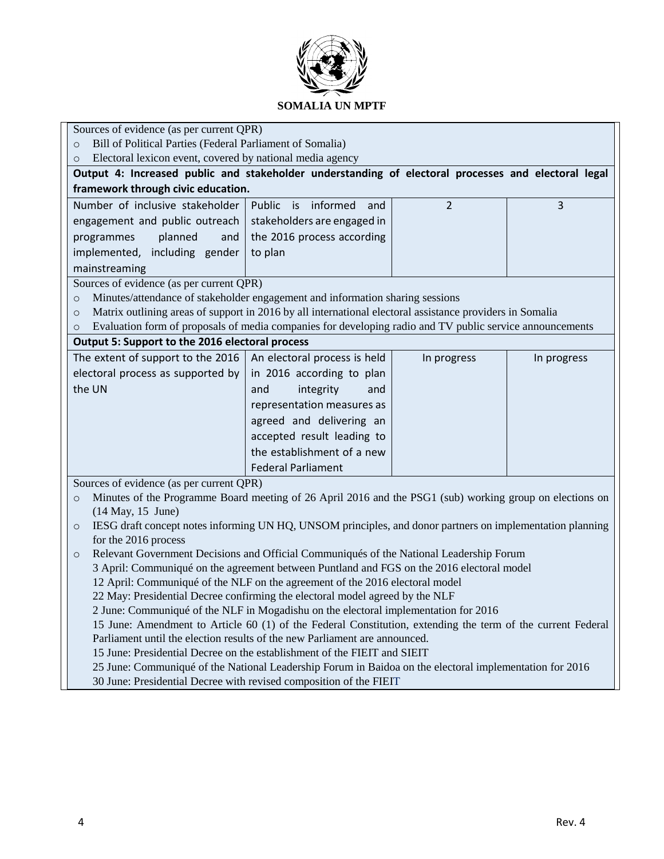

# **SOMALIA UN MPTF**

|                                                                                                                                                                                           | Sources of evidence (as per current QPR) |             |             |  |  |  |  |
|-------------------------------------------------------------------------------------------------------------------------------------------------------------------------------------------|------------------------------------------|-------------|-------------|--|--|--|--|
| Bill of Political Parties (Federal Parliament of Somalia)<br>$\Omega$<br>Electoral lexicon event, covered by national media agency<br>$\circ$                                             |                                          |             |             |  |  |  |  |
| Output 4: Increased public and stakeholder understanding of electoral processes and electoral legal                                                                                       |                                          |             |             |  |  |  |  |
| framework through civic education.                                                                                                                                                        |                                          |             |             |  |  |  |  |
| Number of inclusive stakeholder<br>Public is<br>informed<br>$\overline{2}$<br>3<br>and                                                                                                    |                                          |             |             |  |  |  |  |
|                                                                                                                                                                                           |                                          |             |             |  |  |  |  |
| engagement and public outreach                                                                                                                                                            | stakeholders are engaged in              |             |             |  |  |  |  |
| planned<br>programmes<br>and                                                                                                                                                              | the 2016 process according               |             |             |  |  |  |  |
| implemented, including gender                                                                                                                                                             | to plan                                  |             |             |  |  |  |  |
| mainstreaming                                                                                                                                                                             |                                          |             |             |  |  |  |  |
| Sources of evidence (as per current QPR)                                                                                                                                                  |                                          |             |             |  |  |  |  |
| Minutes/attendance of stakeholder engagement and information sharing sessions<br>$\circ$                                                                                                  |                                          |             |             |  |  |  |  |
| Matrix outlining areas of support in 2016 by all international electoral assistance providers in Somalia<br>$\circ$                                                                       |                                          |             |             |  |  |  |  |
| Evaluation form of proposals of media companies for developing radio and TV public service announcements<br>$\circ$                                                                       |                                          |             |             |  |  |  |  |
| Output 5: Support to the 2016 electoral process                                                                                                                                           |                                          |             |             |  |  |  |  |
| The extent of support to the 2016                                                                                                                                                         | An electoral process is held             | In progress | In progress |  |  |  |  |
| electoral process as supported by                                                                                                                                                         | in 2016 according to plan                |             |             |  |  |  |  |
| the UN                                                                                                                                                                                    | integrity<br>and<br>and                  |             |             |  |  |  |  |
|                                                                                                                                                                                           | representation measures as               |             |             |  |  |  |  |
|                                                                                                                                                                                           | agreed and delivering an                 |             |             |  |  |  |  |
|                                                                                                                                                                                           | accepted result leading to               |             |             |  |  |  |  |
|                                                                                                                                                                                           | the establishment of a new               |             |             |  |  |  |  |
|                                                                                                                                                                                           | <b>Federal Parliament</b>                |             |             |  |  |  |  |
| Sources of evidence (as per current QPR)                                                                                                                                                  |                                          |             |             |  |  |  |  |
| Minutes of the Programme Board meeting of 26 April 2016 and the PSG1 (sub) working group on elections on<br>$\circ$                                                                       |                                          |             |             |  |  |  |  |
| $(14$ May, $15$ June)                                                                                                                                                                     |                                          |             |             |  |  |  |  |
| IESG draft concept notes informing UN HQ, UNSOM principles, and donor partners on implementation planning<br>$\circ$                                                                      |                                          |             |             |  |  |  |  |
| for the 2016 process                                                                                                                                                                      |                                          |             |             |  |  |  |  |
| Relevant Government Decisions and Official Communiqués of the National Leadership Forum<br>$\circ$                                                                                        |                                          |             |             |  |  |  |  |
| 3 April: Communiqué on the agreement between Puntland and FGS on the 2016 electoral model                                                                                                 |                                          |             |             |  |  |  |  |
| 12 April: Communiqué of the NLF on the agreement of the 2016 electoral model                                                                                                              |                                          |             |             |  |  |  |  |
| 22 May: Presidential Decree confirming the electoral model agreed by the NLF<br>2 June: Communiqué of the NLF in Mogadishu on the electoral implementation for 2016                       |                                          |             |             |  |  |  |  |
|                                                                                                                                                                                           |                                          |             |             |  |  |  |  |
| 15 June: Amendment to Article 60 (1) of the Federal Constitution, extending the term of the current Federal<br>Parliament until the election results of the new Parliament are announced. |                                          |             |             |  |  |  |  |
|                                                                                                                                                                                           |                                          |             |             |  |  |  |  |
| 15 June: Presidential Decree on the establishment of the FIEIT and SIEIT                                                                                                                  |                                          |             |             |  |  |  |  |
| 25 June: Communiqué of the National Leadership Forum in Baidoa on the electoral implementation for 2016<br>30 June: Presidential Decree with revised composition of the FIEIT             |                                          |             |             |  |  |  |  |
|                                                                                                                                                                                           |                                          |             |             |  |  |  |  |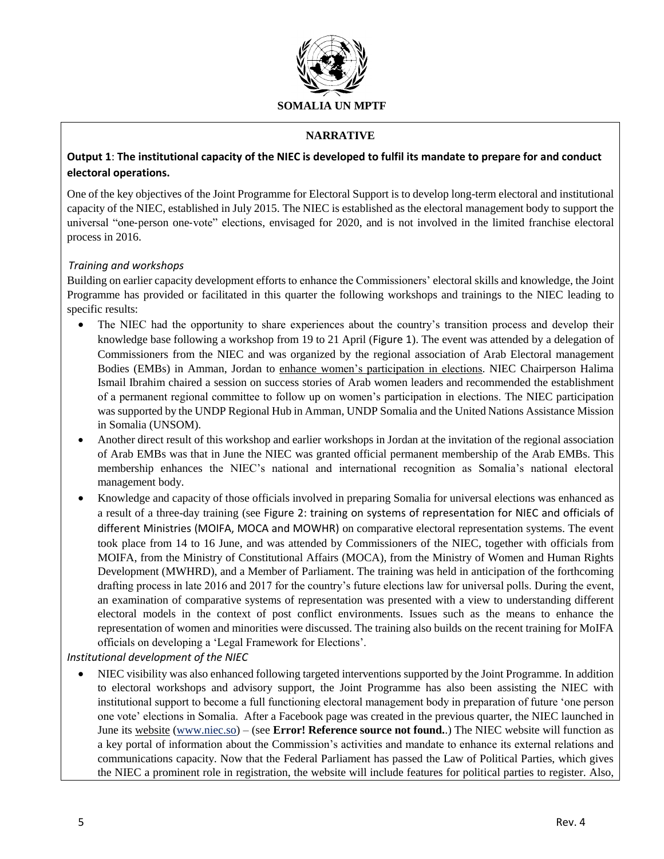

## **NARRATIVE**

# **Output 1**: **The institutional capacity of the NIEC is developed to fulfil its mandate to prepare for and conduct electoral operations.**

One of the key objectives of the Joint Programme for Electoral Support is to develop long-term electoral and institutional capacity of the NIEC, established in July 2015. The NIEC is established as the electoral management body to support the universal "one‐person one‐vote" elections, envisaged for 2020, and is not involved in the limited franchise electoral process in 2016.

#### *Training and workshops*

Building on earlier capacity development efforts to enhance the Commissioners' electoral skills and knowledge, the Joint Programme has provided or facilitated in this quarter the following workshops and trainings to the NIEC leading to specific results:

- The NIEC had the opportunity to share experiences about the country's transition process and develop their knowledge base following a workshop from 19 to 21 April ([Figure 1](#page-12-0)). The event was attended by a delegation of Commissioners from the NIEC and was organized by the regional association of Arab Electoral management Bodies (EMBs) in Amman, Jordan to enhance women's participation in elections. NIEC Chairperson Halima Ismail Ibrahim chaired a session on success stories of Arab women leaders and recommended the establishment of a permanent regional committee to follow up on women's participation in elections. The NIEC participation was supported by the UNDP Regional Hub in Amman, UNDP Somalia and the United Nations Assistance Mission in Somalia (UNSOM).
- Another direct result of this workshop and earlier workshops in Jordan at the invitation of the regional association of Arab EMBs was that in June the NIEC was granted official permanent membership of the Arab EMBs. This membership enhances the NIEC's national and international recognition as Somalia's national electoral management body.
- Knowledge and capacity of those officials involved in preparing Somalia for universal elections was enhanced as a result of a three-day training (see [Figure 2: training on systems of representation for NIEC and officials of](#page-12-1)  [different Ministries \(MOIFA, MOCA and MOWHR\)](#page-12-1) on comparative electoral representation systems. The event took place from 14 to 16 June, and was attended by Commissioners of the NIEC, together with officials from MOIFA, from the Ministry of Constitutional Affairs (MOCA), from the Ministry of Women and Human Rights Development (MWHRD), and a Member of Parliament. The training was held in anticipation of the forthcoming drafting process in late 2016 and 2017 for the country's future elections law for universal polls. During the event, an examination of comparative systems of representation was presented with a view to understanding different electoral models in the context of post conflict environments. Issues such as the means to enhance the representation of women and minorities were discussed. The training also builds on the recent training for MoIFA officials on developing a 'Legal Framework for Elections'.

*Institutional development of the NIEC*

 NIEC visibility was also enhanced following targeted interventions supported by the Joint Programme. In addition to electoral workshops and advisory support, the Joint Programme has also been assisting the NIEC with institutional support to become a full functioning electoral management body in preparation of future 'one person one vote' elections in Somalia. After a Facebook page was created in the previous quarter, the NIEC launched in June its website [\(www.niec.so\)](http://www.niec.so/) – (see **Error! Reference source not found.**.) The NIEC website will function as a key portal of information about the Commission's activities and mandate to enhance its external relations and communications capacity. Now that the Federal Parliament has passed the Law of Political Parties, which gives the NIEC a prominent role in registration, the website will include features for political parties to register. Also,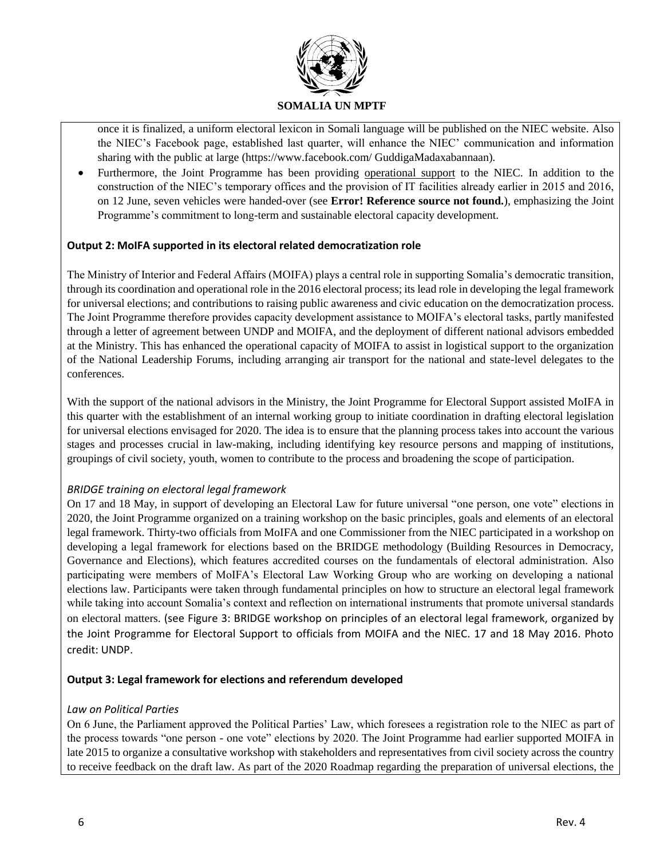

once it is finalized, a uniform electoral lexicon in Somali language will be published on the NIEC website. Also the NIEC's Facebook page, established last quarter, will enhance the NIEC' communication and information sharing with the public at large (https://www.facebook.com/ GuddigaMadaxabannaan).

 Furthermore, the Joint Programme has been providing operational support to the NIEC. In addition to the construction of the NIEC's temporary offices and the provision of IT facilities already earlier in 2015 and 2016, on 12 June, seven vehicles were handed-over (see **Error! Reference source not found.**), emphasizing the Joint Programme's commitment to long-term and sustainable electoral capacity development.

#### **Output 2: MoIFA supported in its electoral related democratization role**

The Ministry of Interior and Federal Affairs (MOIFA) plays a central role in supporting Somalia's democratic transition, through its coordination and operational role in the 2016 electoral process; its lead role in developing the legal framework for universal elections; and contributions to raising public awareness and civic education on the democratization process. The Joint Programme therefore provides capacity development assistance to MOIFA's electoral tasks, partly manifested through a letter of agreement between UNDP and MOIFA, and the deployment of different national advisors embedded at the Ministry. This has enhanced the operational capacity of MOIFA to assist in logistical support to the organization of the National Leadership Forums, including arranging air transport for the national and state-level delegates to the conferences.

With the support of the national advisors in the Ministry, the Joint Programme for Electoral Support assisted MoIFA in this quarter with the establishment of an internal working group to initiate coordination in drafting electoral legislation for universal elections envisaged for 2020. The idea is to ensure that the planning process takes into account the various stages and processes crucial in law-making, including identifying key resource persons and mapping of institutions, groupings of civil society, youth, women to contribute to the process and broadening the scope of participation.

#### *BRIDGE training on electoral legal framework*

On 17 and 18 May, in support of developing an Electoral Law for future universal "one person, one vote" elections in 2020, the Joint Programme organized on a training workshop on the basic principles, goals and elements of an electoral legal framework. Thirty-two officials from MoIFA and one Commissioner from the NIEC participated in a workshop on developing a legal framework for elections based on the BRIDGE methodology (Building Resources in Democracy, Governance and Elections), which features accredited courses on the fundamentals of electoral administration. Also participating were members of MoIFA's Electoral Law Working Group who are working on developing a national elections law. Participants were taken through fundamental principles on how to structure an electoral legal framework while taking into account Somalia's context and reflection on international instruments that promote universal standards on electoral matters. (see [Figure 3: BRIDGE workshop on principles of an electoral legal framework, organized by](#page-13-0)  the Joint Programme [for Electoral Support to officials from MOIFA and the NIEC. 17 and 18 May 2016. Photo](#page-13-0)  [credit: UNDP.](#page-13-0)

#### **Output 3: Legal framework for elections and referendum developed**

#### *Law on Political Parties*

On 6 June, the Parliament approved the Political Parties' Law, which foresees a registration role to the NIEC as part of the process towards "one person - one vote" elections by 2020. The Joint Programme had earlier supported MOIFA in late 2015 to organize a consultative workshop with stakeholders and representatives from civil society across the country to receive feedback on the draft law. As part of the 2020 Roadmap regarding the preparation of universal elections, the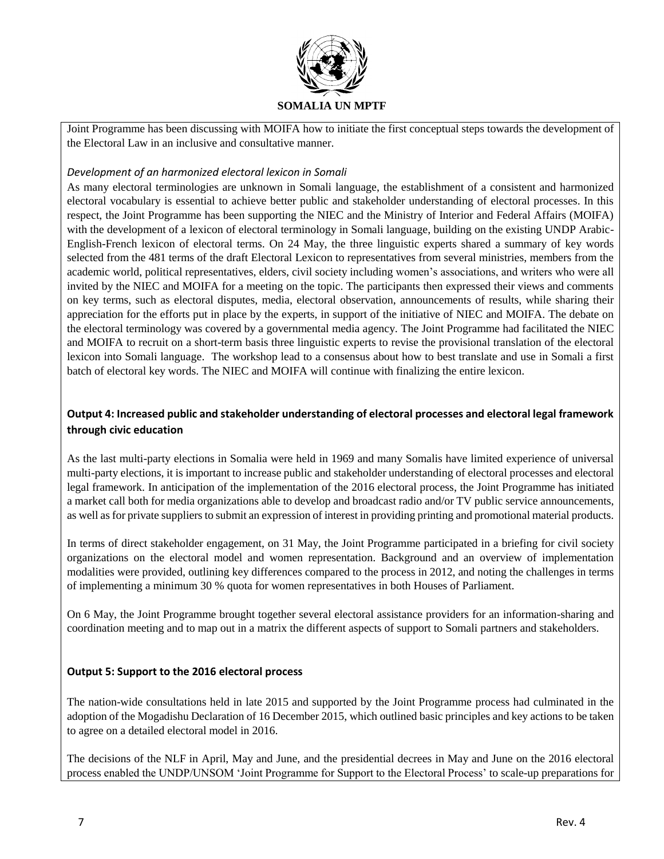

Joint Programme has been discussing with MOIFA how to initiate the first conceptual steps towards the development of the Electoral Law in an inclusive and consultative manner.

### *Development of an harmonized electoral lexicon in Somali*

As many electoral terminologies are unknown in Somali language, the establishment of a consistent and harmonized electoral vocabulary is essential to achieve better public and stakeholder understanding of electoral processes. In this respect, the Joint Programme has been supporting the NIEC and the Ministry of Interior and Federal Affairs (MOIFA) with the development of a lexicon of electoral terminology in Somali language, building on the existing UNDP Arabic-English-French lexicon of electoral terms. On 24 May, the three linguistic experts shared a summary of key words selected from the 481 terms of the draft Electoral Lexicon to representatives from several ministries, members from the academic world, political representatives, elders, civil society including women's associations, and writers who were all invited by the NIEC and MOIFA for a meeting on the topic. The participants then expressed their views and comments on key terms, such as electoral disputes, media, electoral observation, announcements of results, while sharing their appreciation for the efforts put in place by the experts, in support of the initiative of NIEC and MOIFA. The debate on the electoral terminology was covered by a governmental media agency. The Joint Programme had facilitated the NIEC and MOIFA to recruit on a short-term basis three linguistic experts to revise the provisional translation of the electoral lexicon into Somali language. The workshop lead to a consensus about how to best translate and use in Somali a first batch of electoral key words. The NIEC and MOIFA will continue with finalizing the entire lexicon.

# **Output 4: Increased public and stakeholder understanding of electoral processes and electoral legal framework through civic education**

As the last multi-party elections in Somalia were held in 1969 and many Somalis have limited experience of universal multi-party elections, it is important to increase public and stakeholder understanding of electoral processes and electoral legal framework. In anticipation of the implementation of the 2016 electoral process, the Joint Programme has initiated a market call both for media organizations able to develop and broadcast radio and/or TV public service announcements, as well as for private suppliers to submit an expression of interest in providing printing and promotional material products.

In terms of direct stakeholder engagement, on 31 May, the Joint Programme participated in a briefing for civil society organizations on the electoral model and women representation. Background and an overview of implementation modalities were provided, outlining key differences compared to the process in 2012, and noting the challenges in terms of implementing a minimum 30 % quota for women representatives in both Houses of Parliament.

On 6 May, the Joint Programme brought together several electoral assistance providers for an information-sharing and coordination meeting and to map out in a matrix the different aspects of support to Somali partners and stakeholders.

### **Output 5: Support to the 2016 electoral process**

The nation-wide consultations held in late 2015 and supported by the Joint Programme process had culminated in the adoption of the Mogadishu Declaration of 16 December 2015, which outlined basic principles and key actions to be taken to agree on a detailed electoral model in 2016.

The decisions of the NLF in April, May and June, and the presidential decrees in May and June on the 2016 electoral process enabled the UNDP/UNSOM 'Joint Programme for Support to the Electoral Process' to scale-up preparations for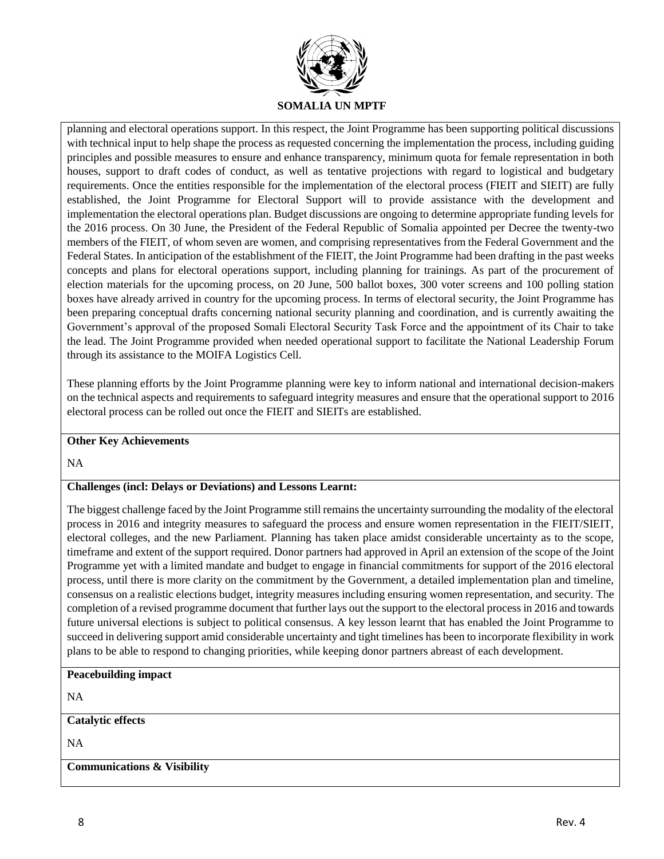

planning and electoral operations support. In this respect, the Joint Programme has been supporting political discussions with technical input to help shape the process as requested concerning the implementation the process, including guiding principles and possible measures to ensure and enhance transparency, minimum quota for female representation in both houses, support to draft codes of conduct, as well as tentative projections with regard to logistical and budgetary requirements. Once the entities responsible for the implementation of the electoral process (FIEIT and SIEIT) are fully established, the Joint Programme for Electoral Support will to provide assistance with the development and implementation the electoral operations plan. Budget discussions are ongoing to determine appropriate funding levels for the 2016 process. On 30 June, the President of the Federal Republic of Somalia appointed per Decree the twenty-two members of the FIEIT, of whom seven are women, and comprising representatives from the Federal Government and the Federal States. In anticipation of the establishment of the FIEIT, the Joint Programme had been drafting in the past weeks concepts and plans for electoral operations support, including planning for trainings. As part of the procurement of election materials for the upcoming process, on 20 June, 500 ballot boxes, 300 voter screens and 100 polling station boxes have already arrived in country for the upcoming process. In terms of electoral security, the Joint Programme has been preparing conceptual drafts concerning national security planning and coordination, and is currently awaiting the Government's approval of the proposed Somali Electoral Security Task Force and the appointment of its Chair to take the lead. The Joint Programme provided when needed operational support to facilitate the National Leadership Forum through its assistance to the MOIFA Logistics Cell.

These planning efforts by the Joint Programme planning were key to inform national and international decision-makers on the technical aspects and requirements to safeguard integrity measures and ensure that the operational support to 2016 electoral process can be rolled out once the FIEIT and SIEITs are established.

#### **Other Key Achievements**

NA

# **Challenges (incl: Delays or Deviations) and Lessons Learnt:**

The biggest challenge faced by the Joint Programme still remains the uncertainty surrounding the modality of the electoral process in 2016 and integrity measures to safeguard the process and ensure women representation in the FIEIT/SIEIT, electoral colleges, and the new Parliament. Planning has taken place amidst considerable uncertainty as to the scope, timeframe and extent of the support required. Donor partners had approved in April an extension of the scope of the Joint Programme yet with a limited mandate and budget to engage in financial commitments for support of the 2016 electoral process, until there is more clarity on the commitment by the Government, a detailed implementation plan and timeline, consensus on a realistic elections budget, integrity measures including ensuring women representation, and security. The completion of a revised programme document that further lays out the support to the electoral process in 2016 and towards future universal elections is subject to political consensus. A key lesson learnt that has enabled the Joint Programme to succeed in delivering support amid considerable uncertainty and tight timelines has been to incorporate flexibility in work plans to be able to respond to changing priorities, while keeping donor partners abreast of each development.

**Peacebuilding impact**

NA

#### **Catalytic effects**

NA

#### **Communications & Visibility**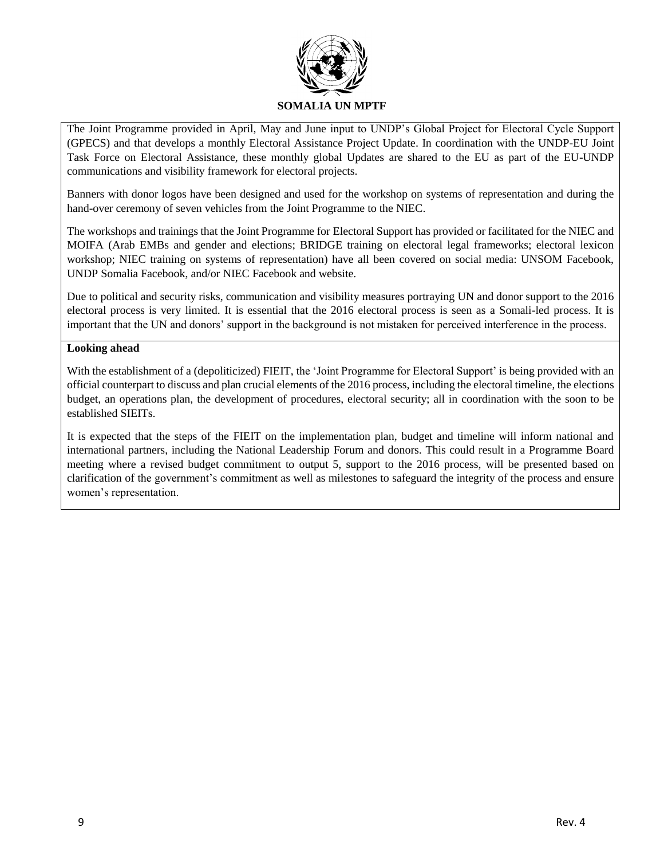

The Joint Programme provided in April, May and June input to UNDP's Global Project for Electoral Cycle Support (GPECS) and that develops a monthly Electoral Assistance Project Update. In coordination with the UNDP-EU Joint Task Force on Electoral Assistance, these monthly global Updates are shared to the EU as part of the EU-UNDP communications and visibility framework for electoral projects.

Banners with donor logos have been designed and used for the workshop on systems of representation and during the hand-over ceremony of seven vehicles from the Joint Programme to the NIEC.

The workshops and trainings that the Joint Programme for Electoral Support has provided or facilitated for the NIEC and MOIFA (Arab EMBs and gender and elections; BRIDGE training on electoral legal frameworks; electoral lexicon workshop; NIEC training on systems of representation) have all been covered on social media: UNSOM Facebook, UNDP Somalia Facebook, and/or NIEC Facebook and website.

Due to political and security risks, communication and visibility measures portraying UN and donor support to the 2016 electoral process is very limited. It is essential that the 2016 electoral process is seen as a Somali-led process. It is important that the UN and donors' support in the background is not mistaken for perceived interference in the process.

#### **Looking ahead**

With the establishment of a (depoliticized) FIEIT, the 'Joint Programme for Electoral Support' is being provided with an official counterpart to discuss and plan crucial elements of the 2016 process, including the electoral timeline, the elections budget, an operations plan, the development of procedures, electoral security; all in coordination with the soon to be established SIEITs.

It is expected that the steps of the FIEIT on the implementation plan, budget and timeline will inform national and international partners, including the National Leadership Forum and donors. This could result in a Programme Board meeting where a revised budget commitment to output 5, support to the 2016 process, will be presented based on clarification of the government's commitment as well as milestones to safeguard the integrity of the process and ensure women's representation.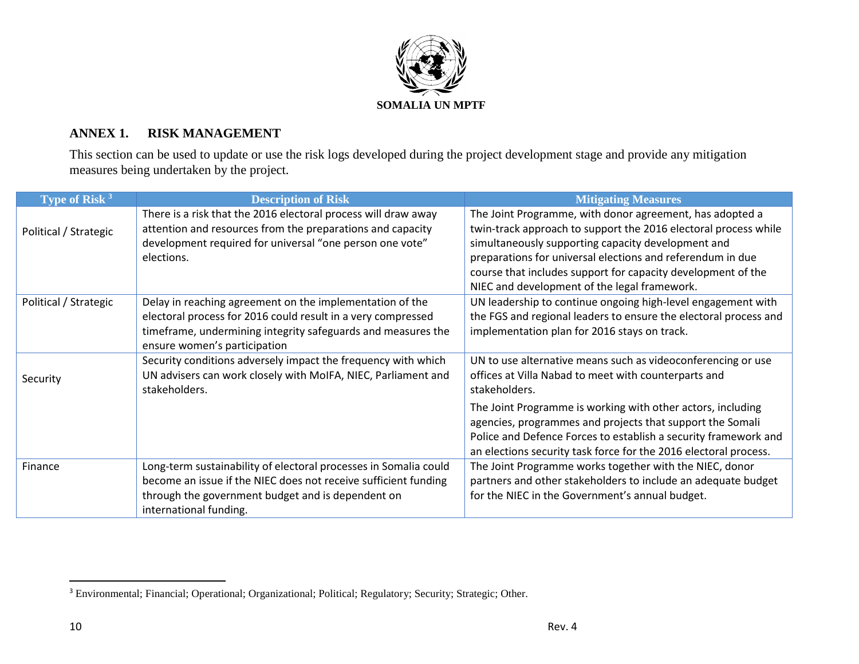

# **ANNEX 1. RISK MANAGEMENT**

This section can be used to update or use the risk logs developed during the project development stage and provide any mitigation measures being undertaken by the project.

| Type of Risk <sup>3</sup> | <b>Description of Risk</b>                                                                                                                                                                                               | <b>Mitigating Measures</b>                                                                                                                                                                                                                                                                                                                                      |
|---------------------------|--------------------------------------------------------------------------------------------------------------------------------------------------------------------------------------------------------------------------|-----------------------------------------------------------------------------------------------------------------------------------------------------------------------------------------------------------------------------------------------------------------------------------------------------------------------------------------------------------------|
| Political / Strategic     | There is a risk that the 2016 electoral process will draw away<br>attention and resources from the preparations and capacity<br>development required for universal "one person one vote"<br>elections.                   | The Joint Programme, with donor agreement, has adopted a<br>twin-track approach to support the 2016 electoral process while<br>simultaneously supporting capacity development and<br>preparations for universal elections and referendum in due<br>course that includes support for capacity development of the<br>NIEC and development of the legal framework. |
| Political / Strategic     | Delay in reaching agreement on the implementation of the<br>electoral process for 2016 could result in a very compressed<br>timeframe, undermining integrity safeguards and measures the<br>ensure women's participation | UN leadership to continue ongoing high-level engagement with<br>the FGS and regional leaders to ensure the electoral process and<br>implementation plan for 2016 stays on track.                                                                                                                                                                                |
| Security                  | Security conditions adversely impact the frequency with which<br>UN advisers can work closely with MoIFA, NIEC, Parliament and<br>stakeholders.                                                                          | UN to use alternative means such as videoconferencing or use<br>offices at Villa Nabad to meet with counterparts and<br>stakeholders.                                                                                                                                                                                                                           |
|                           |                                                                                                                                                                                                                          | The Joint Programme is working with other actors, including<br>agencies, programmes and projects that support the Somali<br>Police and Defence Forces to establish a security framework and<br>an elections security task force for the 2016 electoral process.                                                                                                 |
| Finance                   | Long-term sustainability of electoral processes in Somalia could<br>become an issue if the NIEC does not receive sufficient funding<br>through the government budget and is dependent on<br>international funding.       | The Joint Programme works together with the NIEC, donor<br>partners and other stakeholders to include an adequate budget<br>for the NIEC in the Government's annual budget.                                                                                                                                                                                     |

 $\overline{a}$ 

<sup>&</sup>lt;sup>3</sup> Environmental; Financial; Operational; Organizational; Political; Regulatory; Security; Strategic; Other.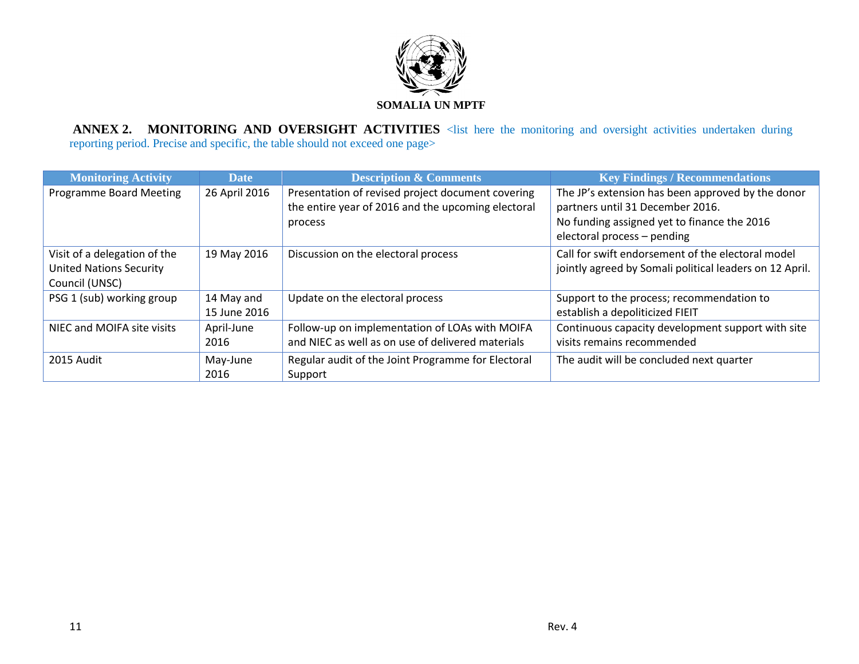

**ANNEX 2. MONITORING AND OVERSIGHT ACTIVITIES** <list here the monitoring and oversight activities undertaken during reporting period. Precise and specific, the table should not exceed one page>

| <b>Monitoring Activity</b>                                                       | <b>Date</b>                | <b>Description &amp; Comments</b>                                                                                  | <b>Key Findings / Recommendations</b>                                                                                                                               |
|----------------------------------------------------------------------------------|----------------------------|--------------------------------------------------------------------------------------------------------------------|---------------------------------------------------------------------------------------------------------------------------------------------------------------------|
| Programme Board Meeting                                                          | 26 April 2016              | Presentation of revised project document covering<br>the entire year of 2016 and the upcoming electoral<br>process | The JP's extension has been approved by the donor<br>partners until 31 December 2016.<br>No funding assigned yet to finance the 2016<br>electoral process - pending |
|                                                                                  |                            |                                                                                                                    |                                                                                                                                                                     |
| Visit of a delegation of the<br><b>United Nations Security</b><br>Council (UNSC) | 19 May 2016                | Discussion on the electoral process                                                                                | Call for swift endorsement of the electoral model<br>jointly agreed by Somali political leaders on 12 April.                                                        |
| PSG 1 (sub) working group                                                        | 14 May and<br>15 June 2016 | Update on the electoral process                                                                                    | Support to the process; recommendation to<br>establish a depoliticized FIEIT                                                                                        |
| NIEC and MOIFA site visits                                                       | April-June<br>2016         | Follow-up on implementation of LOAs with MOIFA<br>and NIEC as well as on use of delivered materials                | Continuous capacity development support with site<br>visits remains recommended                                                                                     |
| 2015 Audit                                                                       | May-June<br>2016           | Regular audit of the Joint Programme for Electoral<br>Support                                                      | The audit will be concluded next quarter                                                                                                                            |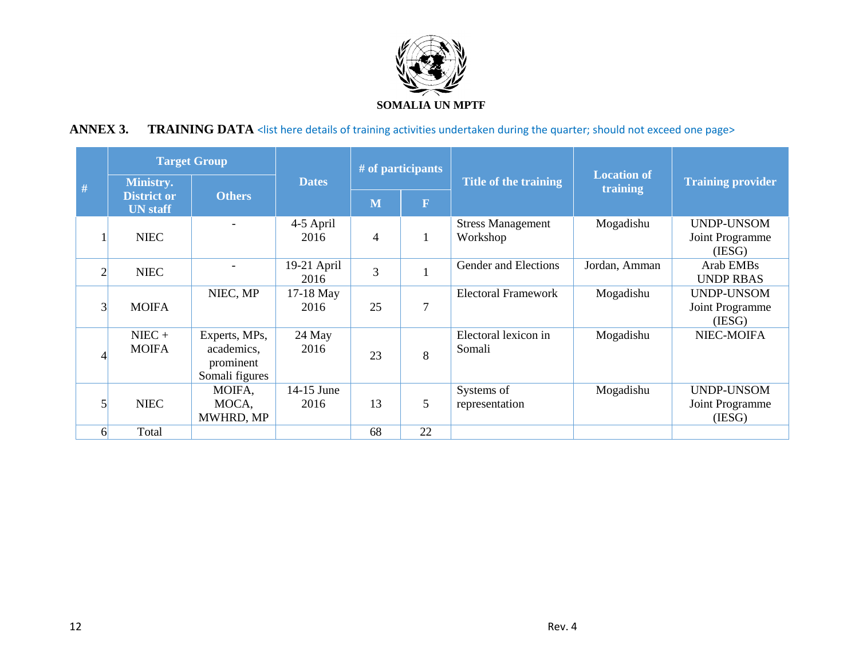

# ANNEX 3. TRAINING DATA <list here details of training activities undertaken during the quarter; should not exceed one page>

|                | <b>Target Group</b>                                                        |                                                            |                       |                | # of participants     |                                      |                          |                                                |
|----------------|----------------------------------------------------------------------------|------------------------------------------------------------|-----------------------|----------------|-----------------------|--------------------------------------|--------------------------|------------------------------------------------|
| #              | <b>Ministry.</b><br><b>Others</b><br><b>District or</b><br><b>UN</b> staff | <b>Dates</b>                                               |                       |                | Title of the training | <b>Location of</b><br>training       | <b>Training provider</b> |                                                |
|                |                                                                            |                                                            |                       | M              | $\mathbf F$           |                                      |                          |                                                |
|                | <b>NIEC</b>                                                                |                                                            | 4-5 April<br>2016     | $\overline{4}$ |                       | <b>Stress Management</b><br>Workshop | Mogadishu                | UNDP-UNSOM<br>Joint Programme<br>(IESG)        |
| $\overline{2}$ | <b>NIEC</b>                                                                |                                                            | $19-21$ April<br>2016 | 3              |                       | Gender and Elections                 | Jordan, Amman            | Arab EMB <sub>s</sub><br><b>UNDP RBAS</b>      |
| 3              | <b>MOIFA</b>                                                               | NIEC, MP                                                   | 17-18 May<br>2016     | 25             | $\overline{7}$        | <b>Electoral Framework</b>           | Mogadishu                | <b>UNDP-UNSOM</b><br>Joint Programme<br>(IESG) |
|                | $NIEC +$<br><b>MOIFA</b>                                                   | Experts, MPs,<br>academics,<br>prominent<br>Somali figures | 24 May<br>2016        | 23             | 8                     | Electoral lexicon in<br>Somali       | Mogadishu                | NIEC-MOIFA                                     |
|                | <b>NIEC</b>                                                                | MOIFA,<br>MOCA,<br>MWHRD, MP                               | 14-15 June<br>2016    | 13             | 5                     | Systems of<br>representation         | Mogadishu                | <b>UNDP-UNSOM</b><br>Joint Programme<br>(IESG) |
| 61             | Total                                                                      |                                                            |                       | 68             | 22                    |                                      |                          |                                                |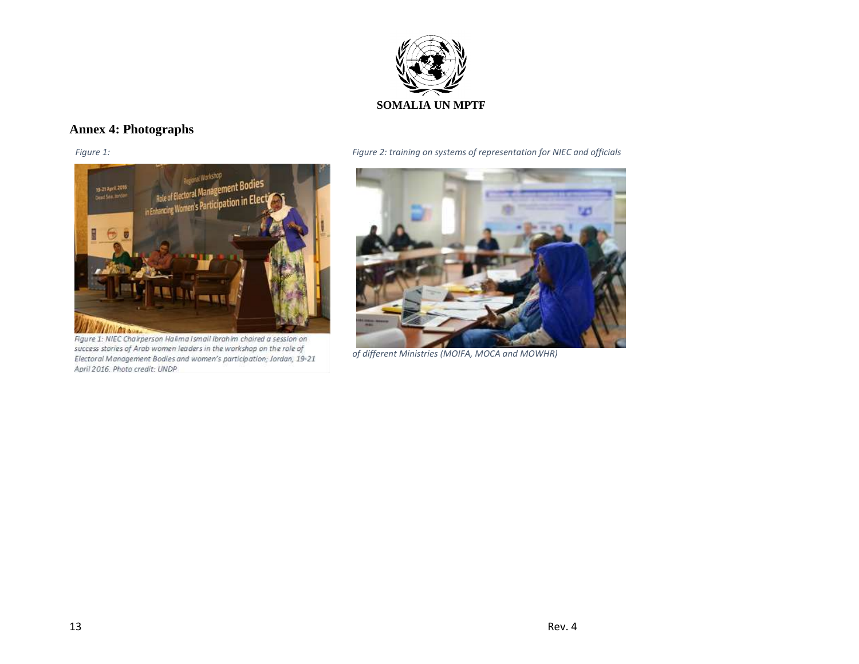

# **Annex 4: Photographs**

<span id="page-12-0"></span>

Figure 1: NIEC Chairperson Halima Ismail Ibrahim chaired a session on success stories of Arab women leaders in the workshop on the role of Electoral Management Bodies and women's participation; Jordan, 19-21 April 2016. Photo credit: UNDP

*Figure 1: Figure 2: training on systems of representation for NIEC and officials* 

<span id="page-12-1"></span>

*of different Ministries (MOIFA, MOCA and MOWHR)*